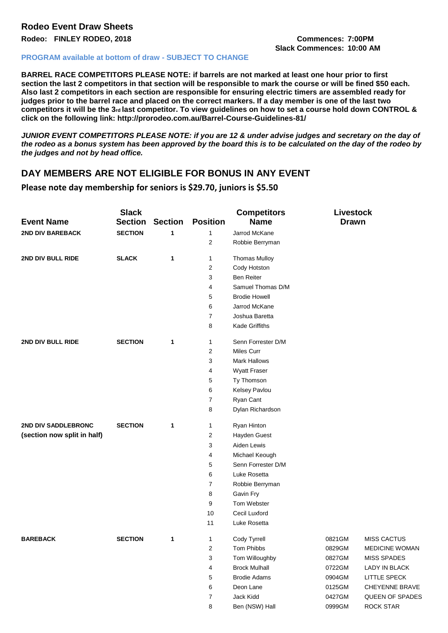# **Rodeo Event Draw Sheets**

**Rodeo: FINLEY RODEO, 2018 Commences: 7:00PM**

**Slack Commences: 10:00 AM**

#### **PROGRAM available at bottom of draw - SUBJECT TO CHANGE**

**BARREL RACE COMPETITORS PLEASE NOTE: if barrels are not marked at least one hour prior to first section the last 2 competitors in that section will be responsible to mark the course or will be fined \$50 each. Also last 2 competitors in each section are responsible for ensuring electric timers are assembled ready for judges prior to the barrel race and placed on the correct markers. If a day member is one of the last two**  competitors it will be the 3<sup>rd</sup> last competitor. To view quidelines on how to set a course hold down CONTROL & **click on the following link: http://prorodeo.com.au/Barrel-Course-Guidelines-81/** 

*JUNIOR EVENT COMPETITORS PLEASE NOTE: if you are 12 & under advise judges and secretary on the day of the rodeo as a bonus system has been approved by the board this is to be calculated on the day of the rodeo by the judges and not by head office.* 

## **DAY MEMBERS ARE NOT ELIGIBLE FOR BONUS IN ANY EVENT**

**Please note day membership for seniors is \$29.70, juniors is \$5.50**

| <b>Event Name</b>           | <b>Slack</b><br><b>Section</b> | <b>Section</b> | <b>Position</b> | <b>Competitors</b><br><b>Name</b> | Livestock<br><b>Drawn</b> |                       |
|-----------------------------|--------------------------------|----------------|-----------------|-----------------------------------|---------------------------|-----------------------|
| <b>2ND DIV BAREBACK</b>     | <b>SECTION</b>                 | 1              | 1               | Jarrod McKane                     |                           |                       |
|                             |                                |                | 2               | Robbie Berryman                   |                           |                       |
| 2ND DIV BULL RIDE           | <b>SLACK</b>                   | $\mathbf 1$    | 1               | <b>Thomas Mulloy</b>              |                           |                       |
|                             |                                |                | 2               | Cody Hotston                      |                           |                       |
|                             |                                |                | 3               | <b>Ben Reiter</b>                 |                           |                       |
|                             |                                |                | 4               | Samuel Thomas D/M                 |                           |                       |
|                             |                                |                | 5               | <b>Brodie Howell</b>              |                           |                       |
|                             |                                |                | 6               | Jarrod McKane                     |                           |                       |
|                             |                                |                | 7               | Joshua Baretta                    |                           |                       |
|                             |                                |                | 8               | Kade Griffiths                    |                           |                       |
| 2ND DIV BULL RIDE           | <b>SECTION</b>                 | 1              | 1               | Senn Forrester D/M                |                           |                       |
|                             |                                |                | 2               | <b>Miles Curr</b>                 |                           |                       |
|                             |                                |                | 3               | <b>Mark Hallows</b>               |                           |                       |
|                             |                                |                | 4               | Wyatt Fraser                      |                           |                       |
|                             |                                |                | 5               | Ty Thomson                        |                           |                       |
|                             |                                |                | 6               | Kelsey Pavlou                     |                           |                       |
|                             |                                |                | 7               | Ryan Cant                         |                           |                       |
|                             |                                |                | 8               | Dylan Richardson                  |                           |                       |
| 2ND DIV SADDLEBRONC         | <b>SECTION</b>                 | 1              | 1               | Ryan Hinton                       |                           |                       |
| (section now split in half) |                                |                | 2               | Hayden Guest                      |                           |                       |
|                             |                                |                | 3               | Aiden Lewis                       |                           |                       |
|                             |                                |                | 4               | Michael Keough                    |                           |                       |
|                             |                                |                | 5               | Senn Forrester D/M                |                           |                       |
|                             |                                |                | 6               | Luke Rosetta                      |                           |                       |
|                             |                                |                | 7               | Robbie Berryman                   |                           |                       |
|                             |                                |                | 8               | Gavin Fry                         |                           |                       |
|                             |                                |                | 9               | Tom Webster                       |                           |                       |
|                             |                                |                | 10              | Cecil Luxford                     |                           |                       |
|                             |                                |                | 11              | Luke Rosetta                      |                           |                       |
| <b>BAREBACK</b>             | <b>SECTION</b>                 | 1              | 1               | Cody Tyrrell                      | 0821GM                    | <b>MISS CACTUS</b>    |
|                             |                                |                | $\overline{c}$  | Tom Phibbs                        | 0829GM                    | <b>MEDICINE WOMAN</b> |
|                             |                                |                | 3               | Tom Willoughby                    | 0827GM                    | <b>MISS SPADES</b>    |
|                             |                                |                | 4               | <b>Brock Mulhall</b>              | 0722GM                    | LADY IN BLACK         |
|                             |                                |                | 5               | <b>Brodie Adams</b>               | 0904GM                    | LITTLE SPECK          |
|                             |                                |                | 6               | Deon Lane                         | 0125GM                    | CHEYENNE BRAVE        |
|                             |                                |                | 7               | Jack Kidd                         | 0427GM                    | QUEEN OF SPADES       |
|                             |                                |                | 8               | Ben (NSW) Hall                    | 0999GM                    | <b>ROCK STAR</b>      |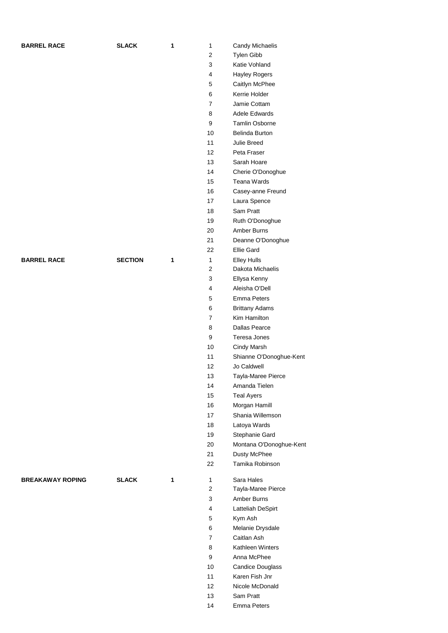| <b>BARREL RACE</b>      | <b>SLACK</b>   | 1 | $\mathbf{1}$            | Candy Michaelis         |
|-------------------------|----------------|---|-------------------------|-------------------------|
|                         |                |   | $\overline{2}$          | Tylen Gibb              |
|                         |                |   | 3                       | Katie Vohland           |
|                         |                |   | $\overline{4}$          | Hayley Rogers           |
|                         |                |   | $\mathbf 5$             | Caitlyn McPhee          |
|                         |                |   | 6                       | Kerrie Holder           |
|                         |                |   | $\overline{7}$          | Jamie Cottam            |
|                         |                |   | 8                       | Adele Edwards           |
|                         |                |   | 9                       | Tamlin Osborne          |
|                         |                |   |                         |                         |
|                         |                |   | 10                      | Belinda Burton          |
|                         |                |   | 11                      | Julie Breed             |
|                         |                |   | 12                      | Peta Fraser             |
|                         |                |   | 13                      | Sarah Hoare             |
|                         |                |   | 14                      | Cherie O'Donoghue       |
|                         |                |   | 15                      | Teana Wards             |
|                         |                |   | 16                      | Casey-anne Freund       |
|                         |                |   | 17                      | Laura Spence            |
|                         |                |   | 18                      | Sam Pratt               |
|                         |                |   | 19                      | Ruth O'Donoghue         |
|                         |                |   | 20                      | Amber Burns             |
|                         |                |   | 21                      | Deanne O'Donoghue       |
|                         |                |   | 22                      | <b>Ellie Gard</b>       |
| <b>BARREL RACE</b>      | <b>SECTION</b> | 1 | $\mathbf{1}$            | <b>Elley Hulls</b>      |
|                         |                |   | $\boldsymbol{2}$        | Dakota Michaelis        |
|                         |                |   | 3                       | Ellysa Kenny            |
|                         |                |   | $\overline{4}$          | Aleisha O'Dell          |
|                         |                |   |                         | <b>Emma Peters</b>      |
|                         |                |   | $\mathbf 5$             |                         |
|                         |                |   | 6                       | <b>Brittany Adams</b>   |
|                         |                |   | $\overline{7}$          | Kim Hamilton            |
|                         |                |   | 8                       | Dallas Pearce           |
|                         |                |   | 9                       | Teresa Jones            |
|                         |                |   | 10                      | Cindy Marsh             |
|                         |                |   | 11                      | Shianne O'Donoghue-Kent |
|                         |                |   | 12                      | Jo Caldwell             |
|                         |                |   | 13                      | Tayla-Maree Pierce      |
|                         |                |   | 14                      | Amanda Tielen           |
|                         |                |   | 15                      | <b>Teal Ayers</b>       |
|                         |                |   | 16                      | Morgan Hamill           |
|                         |                |   | 17                      | Shania Willemson        |
|                         |                |   | 18                      | Latoya Wards            |
|                         |                |   | 19                      | Stephanie Gard          |
|                         |                |   | 20                      | Montana O'Donoghue-Kent |
|                         |                |   | 21                      | Dusty McPhee            |
|                         |                |   | 22                      | Tamika Robinson         |
|                         |                |   |                         |                         |
| <b>BREAKAWAY ROPING</b> | <b>SLACK</b>   | 1 | $\mathbf{1}$            | Sara Hales              |
|                         |                |   | $\overline{c}$          | Tayla-Maree Pierce      |
|                         |                |   | $\sqrt{3}$              | Amber Burns             |
|                         |                |   | $\overline{\mathbf{4}}$ | Latteliah DeSpirt       |
|                         |                |   | $\mathbf 5$             | Kym Ash                 |
|                         |                |   | 6                       | Melanie Drysdale        |
|                         |                |   | $\overline{7}$          | Caitlan Ash             |
|                         |                |   | 8                       | Kathleen Winters        |
|                         |                |   | 9                       | Anna McPhee             |
|                         |                |   | 10                      | <b>Candice Douglass</b> |
|                         |                |   | 11                      | Karen Fish Jnr          |
|                         |                |   |                         |                         |
|                         |                |   | 12                      | Nicole McDonald         |
|                         |                |   | 13                      | Sam Pratt               |
|                         |                |   | 14                      | Emma Peters             |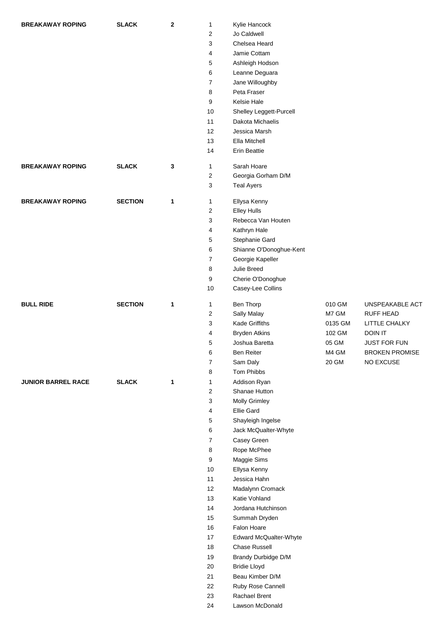| <b>BREAKAWAY ROPING</b>   | <b>SLACK</b>   | $\mathbf{2}$ | $\mathbf{1}$     | Kylie Hancock                    |         |                       |
|---------------------------|----------------|--------------|------------------|----------------------------------|---------|-----------------------|
|                           |                |              | 2                | Jo Caldwell                      |         |                       |
|                           |                |              | 3                | Chelsea Heard                    |         |                       |
|                           |                |              | 4                | Jamie Cottam                     |         |                       |
|                           |                |              | 5                | Ashleigh Hodson                  |         |                       |
|                           |                |              | 6                | Leanne Deguara                   |         |                       |
|                           |                |              | $\overline{7}$   | Jane Willoughby                  |         |                       |
|                           |                |              | 8                | Peta Fraser                      |         |                       |
|                           |                |              | 9                | <b>Kelsie Hale</b>               |         |                       |
|                           |                |              | 10               | Shelley Leggett-Purcell          |         |                       |
|                           |                |              | 11               | Dakota Michaelis                 |         |                       |
|                           |                |              | 12               | Jessica Marsh                    |         |                       |
|                           |                |              | 13               | Ella Mitchell                    |         |                       |
|                           |                |              | 14               | <b>Erin Beattie</b>              |         |                       |
| <b>BREAKAWAY ROPING</b>   | <b>SLACK</b>   | 3            | $\mathbf{1}$     | Sarah Hoare                      |         |                       |
|                           |                |              | $\overline{c}$   | Georgia Gorham D/M               |         |                       |
|                           |                |              | 3                | <b>Teal Ayers</b>                |         |                       |
|                           |                |              |                  |                                  |         |                       |
| <b>BREAKAWAY ROPING</b>   | <b>SECTION</b> | 1            | $\mathbf{1}$     | Ellysa Kenny                     |         |                       |
|                           |                |              | 2                | <b>Elley Hulls</b>               |         |                       |
|                           |                |              | 3                | Rebecca Van Houten               |         |                       |
|                           |                |              | 4                | Kathryn Hale                     |         |                       |
|                           |                |              | 5                | Stephanie Gard                   |         |                       |
|                           |                |              | 6                | Shianne O'Donoghue-Kent          |         |                       |
|                           |                |              | $\overline{7}$   | Georgie Kapeller                 |         |                       |
|                           |                |              | 8                | Julie Breed                      |         |                       |
|                           |                |              | 9                | Cherie O'Donoghue                |         |                       |
|                           |                |              | 10               | Casey-Lee Collins                |         |                       |
| <b>BULL RIDE</b>          | <b>SECTION</b> | 1            | $\mathbf{1}$     | Ben Thorp                        | 010 GM  | UNSPEAKABLE ACT       |
|                           |                |              | $\overline{c}$   | Sally Malay                      | M7 GM   | <b>RUFF HEAD</b>      |
|                           |                |              | 3                | Kade Griffiths                   | 0135 GM | LITTLE CHALKY         |
|                           |                |              | 4                | <b>Bryden Atkins</b>             | 102 GM  | DOIN IT               |
|                           |                |              | 5                | Joshua Baretta                   | 05 GM   | JUST FOR FUN          |
|                           |                |              | 6                | <b>Ben Reiter</b>                | M4 GM   | <b>BROKEN PROMISE</b> |
|                           |                |              | $\boldsymbol{7}$ | Sam Daly                         | 20 GM   | NO EXCUSE             |
|                           |                |              | 8                | Tom Phibbs                       |         |                       |
| <b>JUNIOR BARREL RACE</b> | <b>SLACK</b>   | $\mathbf{1}$ | $\mathbf{1}$     | Addison Ryan                     |         |                       |
|                           |                |              | 2                | Shanae Hutton                    |         |                       |
|                           |                |              | $\mathsf 3$      | <b>Molly Grimley</b>             |         |                       |
|                           |                |              | 4                | Ellie Gard                       |         |                       |
|                           |                |              | 5                | Shayleigh Ingelse                |         |                       |
|                           |                |              | 6                | Jack McQualter-Whyte             |         |                       |
|                           |                |              | $\boldsymbol{7}$ | Casey Green                      |         |                       |
|                           |                |              | 8                | Rope McPhee                      |         |                       |
|                           |                |              | 9                | Maggie Sims                      |         |                       |
|                           |                |              | 10               | Ellysa Kenny                     |         |                       |
|                           |                |              | 11               | Jessica Hahn                     |         |                       |
|                           |                |              | 12               | Madalynn Cromack                 |         |                       |
|                           |                |              | 13               | Katie Vohland                    |         |                       |
|                           |                |              | 14               | Jordana Hutchinson               |         |                       |
|                           |                |              | 15               | Summah Dryden                    |         |                       |
|                           |                |              | 16               | Falon Hoare                      |         |                       |
|                           |                |              | 17               | Edward McQualter-Whyte           |         |                       |
|                           |                |              | 18               | Chase Russell                    |         |                       |
|                           |                |              | 19               | Brandy Durbidge D/M              |         |                       |
|                           |                |              | 20               | <b>Bridie Lloyd</b>              |         |                       |
|                           |                |              | 21               | Beau Kimber D/M                  |         |                       |
|                           |                |              | 22               | Ruby Rose Cannell                |         |                       |
|                           |                |              | 23               | Rachael Brent<br>Lawson McDonald |         |                       |
|                           |                |              | 24               |                                  |         |                       |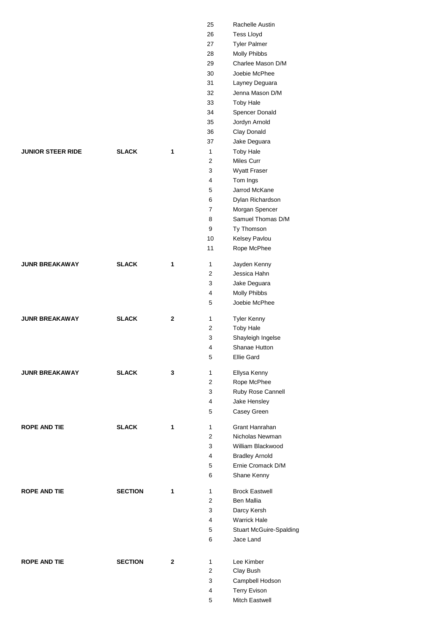|                          |                |              | 25<br>26<br>27<br>28<br>29<br>30<br>31<br>32<br>33 | Rachelle Austin<br><b>Tess Lloyd</b><br><b>Tyler Palmer</b><br>Molly Phibbs<br>Charlee Mason D/M<br>Joebie McPhee<br>Layney Deguara<br>Jenna Mason D/M<br><b>Toby Hale</b> |
|--------------------------|----------------|--------------|----------------------------------------------------|----------------------------------------------------------------------------------------------------------------------------------------------------------------------------|
|                          |                |              | 34<br>35<br>36<br>37                               | Spencer Donald<br>Jordyn Arnold<br>Clay Donald<br>Jake Deguara                                                                                                             |
| <b>JUNIOR STEER RIDE</b> | <b>SLACK</b>   | 1            | 1<br>2<br>3                                        | <b>Toby Hale</b><br>Miles Curr<br>Wyatt Fraser                                                                                                                             |
|                          |                |              | 4<br>5                                             | Tom Ings<br>Jarrod McKane                                                                                                                                                  |
|                          |                |              | 6<br>7                                             | Dylan Richardson<br>Morgan Spencer                                                                                                                                         |
|                          |                |              | 8<br>9                                             | Samuel Thomas D/M<br>Ty Thomson                                                                                                                                            |
|                          |                |              | 10<br>11                                           | Kelsey Pavlou<br>Rope McPhee                                                                                                                                               |
| <b>JUNR BREAKAWAY</b>    | <b>SLACK</b>   | 1            | 1<br>2                                             | Jayden Kenny<br>Jessica Hahn                                                                                                                                               |
|                          |                |              | 3                                                  | Jake Deguara                                                                                                                                                               |
|                          |                |              | 4<br>5                                             | Molly Phibbs<br>Joebie McPhee                                                                                                                                              |
| <b>JUNR BREAKAWAY</b>    | <b>SLACK</b>   | $\mathbf{2}$ | 1<br>2                                             | <b>Tyler Kenny</b><br><b>Toby Hale</b>                                                                                                                                     |
|                          |                |              | 3                                                  | Shayleigh Ingelse                                                                                                                                                          |
|                          |                |              | 4                                                  | Shanae Hutton                                                                                                                                                              |
|                          |                |              | 5                                                  | Ellie Gard                                                                                                                                                                 |
| <b>JUNR BREAKAWAY</b>    | <b>SLACK</b>   | 3            | 1<br>$\overline{2}$                                | Ellysa Kenny<br>Rope McPhee                                                                                                                                                |
|                          |                |              | 3                                                  | Ruby Rose Cannell                                                                                                                                                          |
|                          |                |              | 4                                                  | Jake Hensley                                                                                                                                                               |
|                          |                |              | 5                                                  | Casey Green                                                                                                                                                                |
| <b>ROPE AND TIE</b>      | <b>SLACK</b>   | 1            | 1<br>$\overline{2}$                                | Grant Hanrahan<br>Nicholas Newman                                                                                                                                          |
|                          |                |              | 3                                                  | William Blackwood                                                                                                                                                          |
|                          |                |              | 4                                                  | <b>Bradley Arnold</b>                                                                                                                                                      |
|                          |                |              | 5                                                  | Ernie Cromack D/M                                                                                                                                                          |
|                          |                |              | 6                                                  | Shane Kenny                                                                                                                                                                |
| <b>ROPE AND TIE</b>      | <b>SECTION</b> | 1            | 1<br>$\overline{2}$                                | <b>Brock Eastwell</b><br>Ben Mallia                                                                                                                                        |
|                          |                |              | 3                                                  | Darcy Kersh                                                                                                                                                                |
|                          |                |              | 4                                                  | <b>Warrick Hale</b>                                                                                                                                                        |
|                          |                |              | 5<br>6                                             | <b>Stuart McGuire-Spalding</b><br>Jace Land                                                                                                                                |
| <b>ROPE AND TIE</b>      | <b>SECTION</b> | $\mathbf{2}$ | 1                                                  | Lee Kimber                                                                                                                                                                 |
|                          |                |              | 2                                                  | Clay Bush                                                                                                                                                                  |
|                          |                |              | 3                                                  | Campbell Hodson                                                                                                                                                            |
|                          |                |              | 4                                                  | <b>Terry Evison</b>                                                                                                                                                        |
|                          |                |              | 5                                                  | Mitch Eastwell                                                                                                                                                             |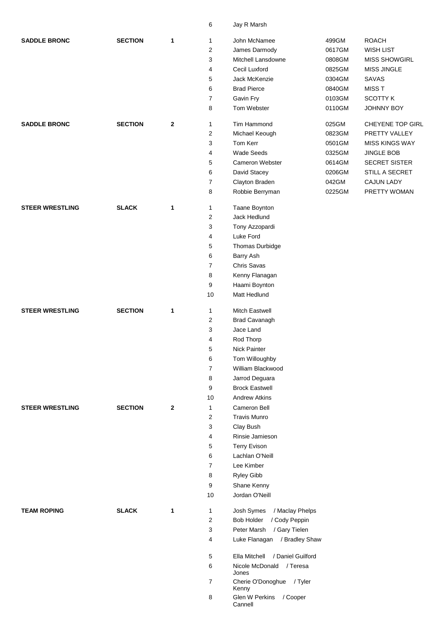|                        |                |              | 6              | Jay R Marsh                        |                                |                       |  |  |
|------------------------|----------------|--------------|----------------|------------------------------------|--------------------------------|-----------------------|--|--|
| <b>SADDLE BRONC</b>    | <b>SECTION</b> | 1            | 1              | John McNamee                       | 499GM                          | <b>ROACH</b>          |  |  |
|                        |                |              | 2              | James Darmody                      | 0617GM                         | <b>WISH LIST</b>      |  |  |
|                        |                |              | 3              | Mitchell Lansdowne                 | <b>MISS SHOWGIRL</b><br>0808GM |                       |  |  |
|                        |                |              | 4              | Cecil Luxford                      | 0825GM                         | <b>MISS JINGLE</b>    |  |  |
|                        |                |              | 5              | Jack McKenzie                      | 0304GM                         | <b>SAVAS</b>          |  |  |
|                        |                |              | 6              | <b>Brad Pierce</b>                 | 0840GM                         | <b>MISST</b>          |  |  |
|                        |                |              | 7              | Gavin Fry                          | 0103GM                         | <b>SCOTTY K</b>       |  |  |
|                        |                |              | 8              | Tom Webster                        | 0110GM                         | <b>JOHNNY BOY</b>     |  |  |
| <b>SADDLE BRONC</b>    | <b>SECTION</b> | $\mathbf{2}$ | $\mathbf{1}$   | Tim Hammond                        | 025GM                          | CHEYENE TOP GIRL      |  |  |
|                        |                |              | 2              | Michael Keough                     | 0823GM                         | PRETTY VALLEY         |  |  |
|                        |                |              | 3              | Tom Kerr                           | 0501GM                         | <b>MISS KINGS WAY</b> |  |  |
|                        |                |              | 4              | <b>Wade Seeds</b>                  | 0325GM                         | <b>JINGLE BOB</b>     |  |  |
|                        |                |              | 5              | <b>Cameron Webster</b>             | 0614GM                         | <b>SECRET SISTER</b>  |  |  |
|                        |                |              | 6              | David Stacey                       | 0206GM                         | STILL A SECRET        |  |  |
|                        |                |              | $\overline{7}$ | Clayton Braden                     | 042GM                          | <b>CAJUN LADY</b>     |  |  |
|                        |                |              | 8              | Robbie Berryman                    | 0225GM                         | PRETTY WOMAN          |  |  |
| <b>STEER WRESTLING</b> | <b>SLACK</b>   | 1            | $\mathbf{1}$   | Taane Boynton                      |                                |                       |  |  |
|                        |                |              | 2              | Jack Hedlund                       |                                |                       |  |  |
|                        |                |              | 3              | Tony Azzopardi                     |                                |                       |  |  |
|                        |                |              | 4              | Luke Ford                          |                                |                       |  |  |
|                        |                |              | 5              | Thomas Durbidge                    |                                |                       |  |  |
|                        |                |              | 6              | Barry Ash                          |                                |                       |  |  |
|                        |                |              | $\overline{7}$ | Chris Savas                        |                                |                       |  |  |
|                        |                |              | 8              | Kenny Flanagan                     |                                |                       |  |  |
|                        |                |              | 9              | Haami Boynton                      |                                |                       |  |  |
|                        |                |              | 10             | Matt Hedlund                       |                                |                       |  |  |
| <b>STEER WRESTLING</b> | <b>SECTION</b> | 1            | 1              | <b>Mitch Eastwell</b>              |                                |                       |  |  |
|                        |                |              | $\overline{c}$ | Brad Cavanagh                      |                                |                       |  |  |
|                        |                |              | 3              | Jace Land                          |                                |                       |  |  |
|                        |                |              | 4              | Rod Thorp                          |                                |                       |  |  |
|                        |                |              | 5              | Nick Painter                       |                                |                       |  |  |
|                        |                |              | 6              | Tom Willoughby                     |                                |                       |  |  |
|                        |                |              | $\overline{7}$ | William Blackwood                  |                                |                       |  |  |
|                        |                |              | 8              | Jarrod Deguara                     |                                |                       |  |  |
|                        |                |              | 9              | <b>Brock Eastwell</b>              |                                |                       |  |  |
|                        |                |              | 10             | <b>Andrew Atkins</b>               |                                |                       |  |  |
| <b>STEER WRESTLING</b> | <b>SECTION</b> | $\mathbf{2}$ | 1              | Cameron Bell                       |                                |                       |  |  |
|                        |                |              | 2              | <b>Travis Munro</b>                |                                |                       |  |  |
|                        |                |              | 3              | Clay Bush                          |                                |                       |  |  |
|                        |                |              | 4              | Rinsie Jamieson                    |                                |                       |  |  |
|                        |                |              | 5              | <b>Terry Evison</b>                |                                |                       |  |  |
|                        |                |              | 6              | Lachlan O'Neill                    |                                |                       |  |  |
|                        |                |              | $\overline{7}$ | Lee Kimber                         |                                |                       |  |  |
|                        |                |              | 8              | Ryley Gibb                         |                                |                       |  |  |
|                        |                |              | 9              | Shane Kenny                        |                                |                       |  |  |
|                        |                |              | 10             | Jordan O'Neill                     |                                |                       |  |  |
| <b>TEAM ROPING</b>     | <b>SLACK</b>   | 1            | $\mathbf{1}$   | Josh Symes<br>/ Maclay Phelps      |                                |                       |  |  |
|                        |                |              | 2              | / Cody Peppin<br><b>Bob Holder</b> |                                |                       |  |  |
|                        |                |              | 3              | Peter Marsh / Gary Tielen          |                                |                       |  |  |
|                        |                |              | 4              | Luke Flanagan / Bradley Shaw       |                                |                       |  |  |
|                        |                |              | 5              | Ella Mitchell / Daniel Guilford    |                                |                       |  |  |
|                        |                |              | 6              | Nicole McDonald / Teresa<br>Jones  |                                |                       |  |  |
|                        |                |              | $\overline{7}$ | Cherie O'Donoghue / Tyler<br>Kenny |                                |                       |  |  |
|                        |                |              | 8              | Glen W Perkins / Cooper<br>Cannell |                                |                       |  |  |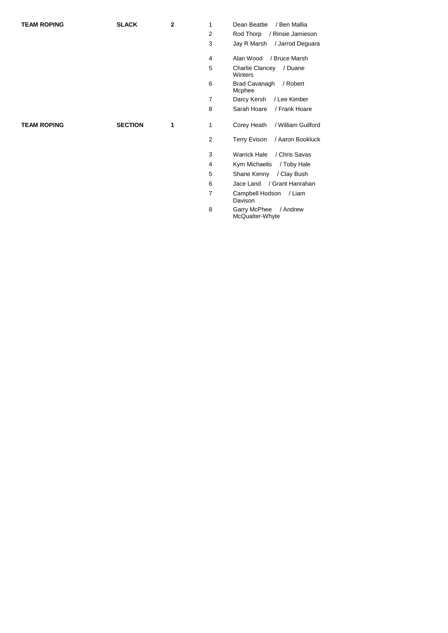| <b>TEAM ROPING</b> | <b>SLACK</b>   | 2 | 1              | Dean Beattie<br>/ Ben Mallia                 |
|--------------------|----------------|---|----------------|----------------------------------------------|
|                    |                |   | 2              | Rod Thorp<br>/ Rinsie Jamieson               |
|                    |                |   | 3              | Jay R Marsh / Jarrod Deguara                 |
|                    |                |   | 4              | Alan Wood<br>/ Bruce Marsh                   |
|                    |                |   | 5              | / Duane<br><b>Charlie Clancey</b><br>Winters |
|                    |                |   | 6              | <b>Brad Cavanagh</b><br>/ Robert<br>Mcphee   |
|                    |                |   | $\overline{7}$ | Darcy Kersh<br>/ Lee Kimber                  |
|                    |                |   | 8              | Sarah Hoare<br>/ Frank Hoare                 |
| <b>TEAM ROPING</b> | <b>SECTION</b> | 1 | 1              | Corey Heath<br>/ William Guilford            |
|                    |                |   | 2              | Terry Evison / Aaron Bookluck                |
|                    |                |   | 3              | <b>Warrick Hale</b><br>/ Chris Savas         |
|                    |                |   | 4              | Kym Michaelis<br>/ Toby Hale                 |
|                    |                |   | 5              | Shane Kenny<br>/ Clay Bush                   |
|                    |                |   | 6              | Jace Land / Grant Hanrahan                   |
|                    |                |   | 7              | Campbell Hodson<br>/ Liam<br>Davison         |
|                    |                |   | 8              | Garry McPhee<br>/ Andrew<br>McQualter-Whyte  |
|                    |                |   |                |                                              |